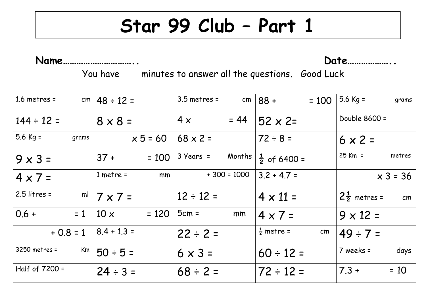## **Star 99 Club – Part 1**

**Name………………………….. Date………………..**

You have minutes to answer all the questions. Good Luck

| $1.6$ metres =       | cm $ 48 \div 12 =$     | $3.5$ metres =                | cm $88 +$<br>$= 100$        | 5.6 Kg =<br>grams             |
|----------------------|------------------------|-------------------------------|-----------------------------|-------------------------------|
| $144 \div 12 =$      | $8 \times 8 =$         | $= 44$<br>$4 \times$          | $52 \times 2=$              | Double 8600 =                 |
| $5.6$ Kg =<br>grams  | $x 5 = 60$             | $68 \times 2 =$               | $72 \div 8 =$               | $6 \times 2 =$                |
| $9 \times 3 =$       | $37 +$<br>$= 100$      | $3 \text{ Years} =$<br>Months | $\frac{1}{2}$ of 6400 =     | $25$ Km =<br>metres           |
| $4 \times 7 =$       | $1$ metre =<br>mm      | $+300 = 1000$                 | $3.2 + 4.7 =$               | $x 3 = 36$                    |
| $2.5$ litres =<br>ml | $7 \times 7 =$         | $12 \div 12 =$                | $4 \times 11 =$             | $2\frac{1}{2}$ metres =<br>cm |
| $0.6 +$<br>$= 1$     | $= 120$<br>$10 \times$ | $5cm =$<br>mm                 | $4 \times 7 =$              | $9 \times 12 =$               |
| $+ 0.8 = 1$          | $ 8.4 + 1.3 =$         | $22 \div 2 =$                 | $\frac{1}{2}$ metre =<br>cm | $49 \div 7 =$                 |
| 3250 metres =<br>Km  | $50 \div 5 =$          | $6 \times 3 =$                | $60 \div 12 =$              | 7 weeks =<br>days             |
| Half of 7200 =       | $24 \div 3 =$          | $68 \div 2 =$                 | $72 \div 12 =$              | $7.3 +$<br>$= 10$             |